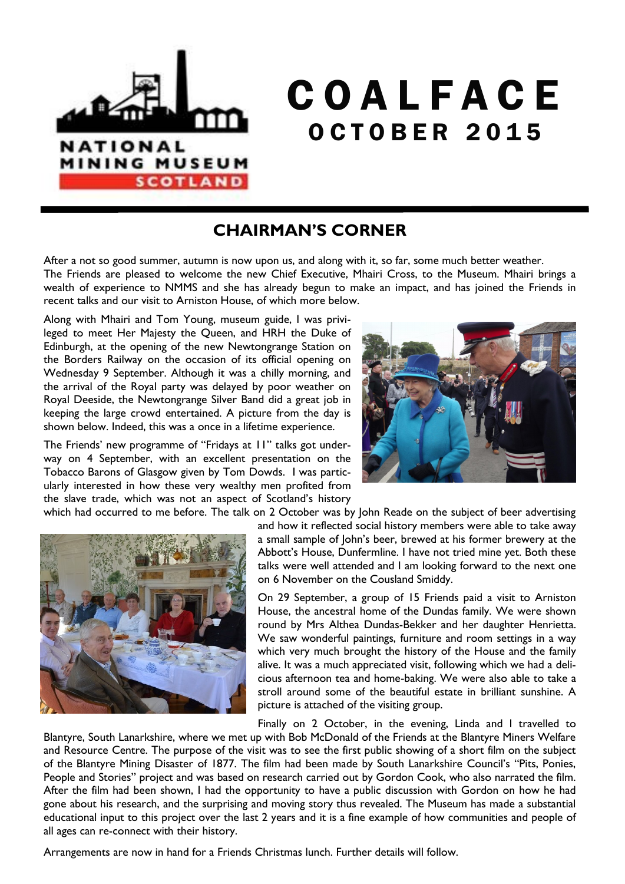

# C O A L F A C E O C T O B E R 2 0 1 5

#### **CHAIRMAN'S CORNER**

After a not so good summer, autumn is now upon us, and along with it, so far, some much better weather. The Friends are pleased to welcome the new Chief Executive, Mhairi Cross, to the Museum. Mhairi brings a wealth of experience to NMMS and she has already begun to make an impact, and has joined the Friends in recent talks and our visit to Arniston House, of which more below.

Along with Mhairi and Tom Young, museum guide, I was privileged to meet Her Majesty the Queen, and HRH the Duke of Edinburgh, at the opening of the new Newtongrange Station on the Borders Railway on the occasion of its official opening on Wednesday 9 September. Although it was a chilly morning, and the arrival of the Royal party was delayed by poor weather on Royal Deeside, the Newtongrange Silver Band did a great job in keeping the large crowd entertained. A picture from the day is shown below. Indeed, this was a once in a lifetime experience.

The Friends' new programme of "Fridays at 11" talks got underway on 4 September, with an excellent presentation on the Tobacco Barons of Glasgow given by Tom Dowds. I was particularly interested in how these very wealthy men profited from the slave trade, which was not an aspect of Scotland's history

which had occurred to me before. The talk on 2 October was by John Reade on the subject of beer advertising



and how it reflected social history members were able to take away a small sample of John's beer, brewed at his former brewery at the Abbott's House, Dunfermline. I have not tried mine yet. Both these talks were well attended and I am looking forward to the next one on 6 November on the Cousland Smiddy.

On 29 September, a group of 15 Friends paid a visit to Arniston House, the ancestral home of the Dundas family. We were shown round by Mrs Althea Dundas-Bekker and her daughter Henrietta. We saw wonderful paintings, furniture and room settings in a way which very much brought the history of the House and the family alive. It was a much appreciated visit, following which we had a delicious afternoon tea and home-baking. We were also able to take a stroll around some of the beautiful estate in brilliant sunshine. A picture is attached of the visiting group.

Finally on 2 October, in the evening, Linda and I travelled to Blantyre, South Lanarkshire, where we met up with Bob McDonald of the Friends at the Blantyre Miners Welfare and Resource Centre. The purpose of the visit was to see the first public showing of a short film on the subject of the Blantyre Mining Disaster of 1877. The film had been made by South Lanarkshire Council's "Pits, Ponies, People and Stories" project and was based on research carried out by Gordon Cook, who also narrated the film. After the film had been shown, I had the opportunity to have a public discussion with Gordon on how he had gone about his research, and the surprising and moving story thus revealed. The Museum has made a substantial educational input to this project over the last 2 years and it is a fine example of how communities and people of all ages can re-connect with their history.

Arrangements are now in hand for a Friends Christmas lunch. Further details will follow.

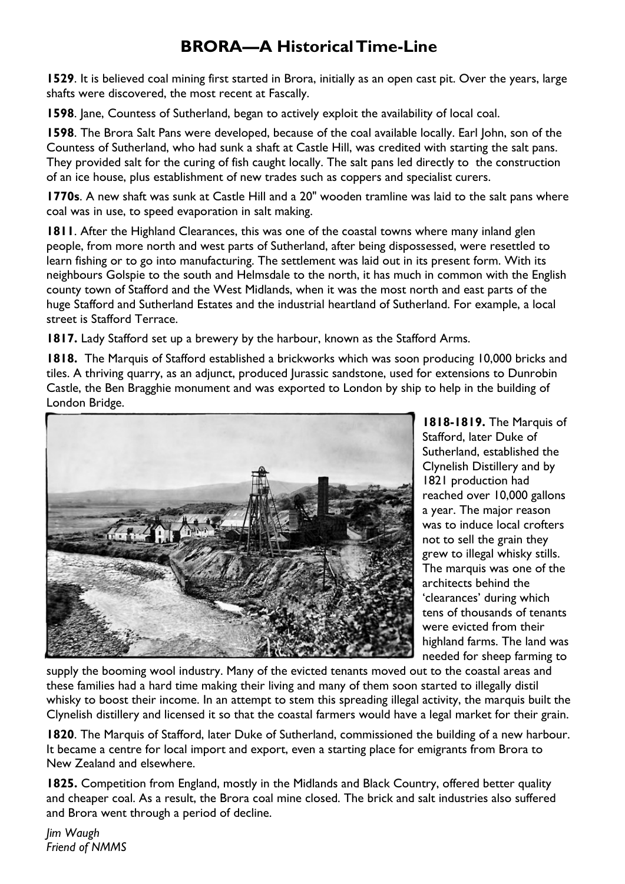### **BRORA—A Historical Time-Line**

**1529**. It is believed coal mining first started in Brora, initially as an open cast pit. Over the years, large shafts were discovered, the most recent at Fascally.

**1598**. Jane, Countess of Sutherland, began to actively exploit the availability of local coal.

**1598**. The Brora Salt Pans were developed, because of the coal available locally. Earl John, son of the Countess of Sutherland, who had sunk a shaft at Castle Hill, was credited with starting the salt pans. They provided salt for the curing of fish caught locally. The salt pans led directly to the construction of an ice house, plus establishment of new trades such as coppers and specialist curers.

**1770s**. A new shaft was sunk at Castle Hill and a 20" wooden tramline was laid to the salt pans where coal was in use, to speed evaporation in salt making.

**1811**. After the Highland Clearances, this was one of the coastal towns where many inland glen people, from more north and west parts of Sutherland, after being dispossessed, were resettled to learn fishing or to go into manufacturing. The settlement was laid out in its present form. With its neighbours Golspie to the south and Helmsdale to the north, it has much in common with the English county town of Stafford and the West Midlands, when it was the most north and east parts of the huge Stafford and Sutherland Estates and the industrial heartland of Sutherland. For example, a local street is Stafford Terrace.

**1817.** Lady Stafford set up a brewery by the harbour, known as the Stafford Arms.

**1818.** The Marquis of Stafford established a brickworks which was soon producing 10,000 bricks and tiles. A thriving quarry, as an adjunct, produced Jurassic sandstone, used for extensions to Dunrobin Castle, the Ben Bragghie monument and was exported to London by ship to help in the building of London Bridge.



**1818-1819.** The Marquis of Stafford, later Duke of Sutherland, established the Clynelish Distillery and by 1821 production had reached over 10,000 gallons a year. The major reason was to induce local crofters not to sell the grain they grew to illegal whisky stills. The marquis was one of the architects behind the 'clearances' during which tens of thousands of tenants were evicted from their highland farms. The land was needed for sheep farming to

supply the booming wool industry. Many of the evicted tenants moved out to the coastal areas and these families had a hard time making their living and many of them soon started to illegally distil whisky to boost their income. In an attempt to stem this spreading illegal activity, the marquis built the Clynelish distillery and licensed it so that the coastal farmers would have a legal market for their grain.

**1820**. The Marquis of Stafford, later Duke of Sutherland, commissioned the building of a new harbour. It became a centre for local import and export, even a starting place for emigrants from Brora to New Zealand and elsewhere.

**1825.** Competition from England, mostly in the Midlands and Black Country, offered better quality and cheaper coal. As a result, the Brora coal mine closed. The brick and salt industries also suffered and Brora went through a period of decline.

*Jim Waugh Friend of NMMS*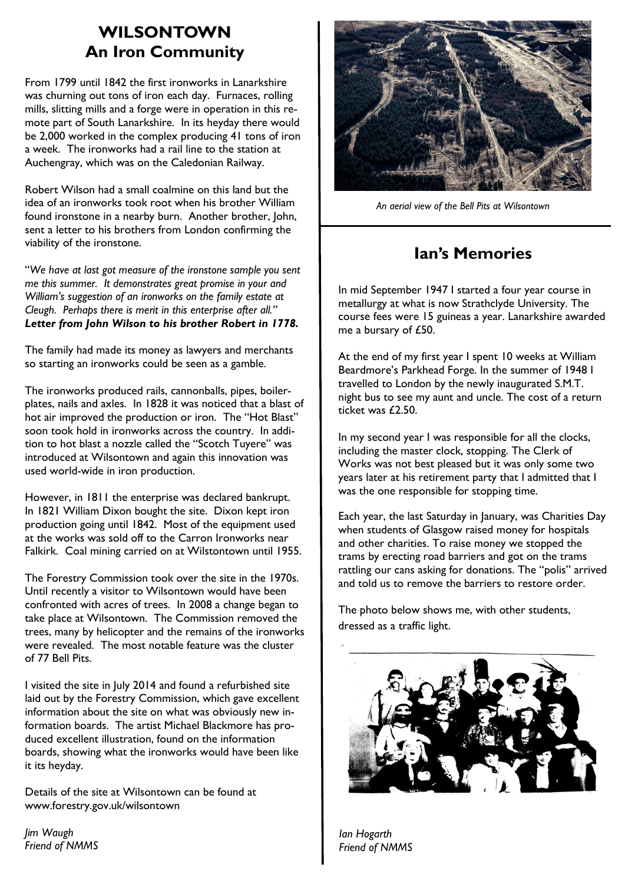#### **WILSONTOWN An Iron Community**

From 1799 until 1842 the first ironworks in Lanarkshire was churning out tons of iron each day. Furnaces, rolling mills, slitting mills and a forge were in operation in this remote part of South Lanarkshire. In its heyday there would be 2,000 worked in the complex producing 41 tons of iron a week. The ironworks had a rail line to the station at Auchengray, which was on the Caledonian Railway.

Robert Wilson had a small coalmine on this land but the idea of an ironworks took root when his brother William found ironstone in a nearby burn. Another brother, John, sent a letter to his brothers from London confirming the viability of the ironstone.

"*We have at last got measure of the ironstone sample you sent me this summer. It demonstrates great promise in your and William's suggestion of an ironworks on the family estate at Cleugh. Perhaps there is merit in this enterprise after all." Letter from John Wilson to his brother Robert in 1778.*

The family had made its money as lawyers and merchants so starting an ironworks could be seen as a gamble.

The ironworks produced rails, cannonballs, pipes, boilerplates, nails and axles. In 1828 it was noticed that a blast of hot air improved the production or iron. The "Hot Blast" soon took hold in ironworks across the country. In addition to hot blast a nozzle called the "Scotch Tuyere" was introduced at Wilsontown and again this innovation was used world-wide in iron production.

However, in 1811 the enterprise was declared bankrupt. In 1821 William Dixon bought the site. Dixon kept iron production going until 1842. Most of the equipment used at the works was sold off to the Carron Ironworks near Falkirk. Coal mining carried on at Wilstontown until 1955.

The Forestry Commission took over the site in the 1970s. Until recently a visitor to Wilsontown would have been confronted with acres of trees. In 2008 a change began to take place at Wilsontown. The Commission removed the trees, many by helicopter and the remains of the ironworks were revealed. The most notable feature was the cluster of 77 Bell Pits.

I visited the site in July 2014 and found a refurbished site laid out by the Forestry Commission, which gave excellent information about the site on what was obviously new information boards. The artist Michael Blackmore has produced excellent illustration, found on the information boards, showing what the ironworks would have been like it its heyday.

Details of the site at Wilsontown can be found at www.forestry.gov.uk/wilsontown

*Jim Waugh Friend of NMMS*



*An aerial view of the Bell Pits at Wilsontown*

#### **Ian's Memories**

In mid September 1947 I started a four year course in metallurgy at what is now Strathclyde University. The course fees were 15 guineas a year. Lanarkshire awarded me a bursary of £50.

At the end of my first year I spent 10 weeks at William Beardmore's Parkhead Forge. In the summer of 1948 I travelled to London by the newly inaugurated S.M.T. night bus to see my aunt and uncle. The cost of a return ticket was £2.50.

In my second year I was responsible for all the clocks, including the master clock, stopping. The Clerk of Works was not best pleased but it was only some two years later at his retirement party that I admitted that I was the one responsible for stopping time.

Each year, the last Saturday in January, was Charities Day when students of Glasgow raised money for hospitals and other charities. To raise money we stopped the trams by erecting road barriers and got on the trams rattling our cans asking for donations. The "polis" arrived and told us to remove the barriers to restore order.

The photo below shows me, with other students, dressed as a traffic light.



*Ian Hogarth Friend of NMMS*